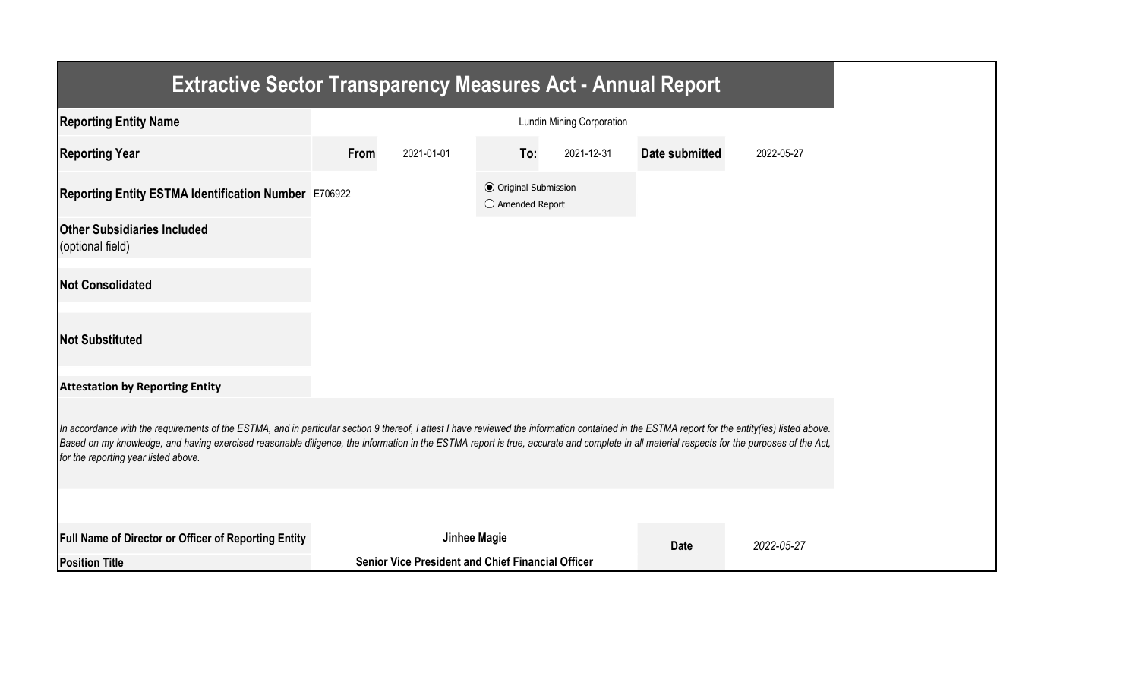| <b>Extractive Sector Transparency Measures Act - Annual Report</b>                                                                                                                                                                                                                                                                                                                                                                    |                                  |                                                          |                                                           |            |                |            |  |  |
|---------------------------------------------------------------------------------------------------------------------------------------------------------------------------------------------------------------------------------------------------------------------------------------------------------------------------------------------------------------------------------------------------------------------------------------|----------------------------------|----------------------------------------------------------|-----------------------------------------------------------|------------|----------------|------------|--|--|
| <b>Reporting Entity Name</b>                                                                                                                                                                                                                                                                                                                                                                                                          | <b>Lundin Mining Corporation</b> |                                                          |                                                           |            |                |            |  |  |
| <b>Reporting Year</b>                                                                                                                                                                                                                                                                                                                                                                                                                 | From                             | 2021-01-01                                               | To:                                                       | 2021-12-31 | Date submitted | 2022-05-27 |  |  |
| Reporting Entity ESTMA Identification Number E706922                                                                                                                                                                                                                                                                                                                                                                                  |                                  |                                                          | <b>◎</b> Original Submission<br>$\bigcirc$ Amended Report |            |                |            |  |  |
| <b>Other Subsidiaries Included</b><br>(optional field)                                                                                                                                                                                                                                                                                                                                                                                |                                  |                                                          |                                                           |            |                |            |  |  |
| <b>Not Consolidated</b>                                                                                                                                                                                                                                                                                                                                                                                                               |                                  |                                                          |                                                           |            |                |            |  |  |
| <b>Not Substituted</b>                                                                                                                                                                                                                                                                                                                                                                                                                |                                  |                                                          |                                                           |            |                |            |  |  |
| <b>Attestation by Reporting Entity</b>                                                                                                                                                                                                                                                                                                                                                                                                |                                  |                                                          |                                                           |            |                |            |  |  |
| In accordance with the requirements of the ESTMA, and in particular section 9 thereof, I attest I have reviewed the information contained in the ESTMA report for the entity(ies) listed above.<br>Based on my knowledge, and having exercised reasonable diligence, the information in the ESTMA report is true, accurate and complete in all material respects for the purposes of the Act,<br>for the reporting year listed above. |                                  |                                                          |                                                           |            |                |            |  |  |
|                                                                                                                                                                                                                                                                                                                                                                                                                                       |                                  |                                                          |                                                           |            |                |            |  |  |
| <b>Full Name of Director or Officer of Reporting Entity</b>                                                                                                                                                                                                                                                                                                                                                                           |                                  | <b>Jinhee Magie</b>                                      |                                                           |            | <b>Date</b>    | 2022-05-27 |  |  |
| <b>Position Title</b>                                                                                                                                                                                                                                                                                                                                                                                                                 |                                  | <b>Senior Vice President and Chief Financial Officer</b> |                                                           |            |                |            |  |  |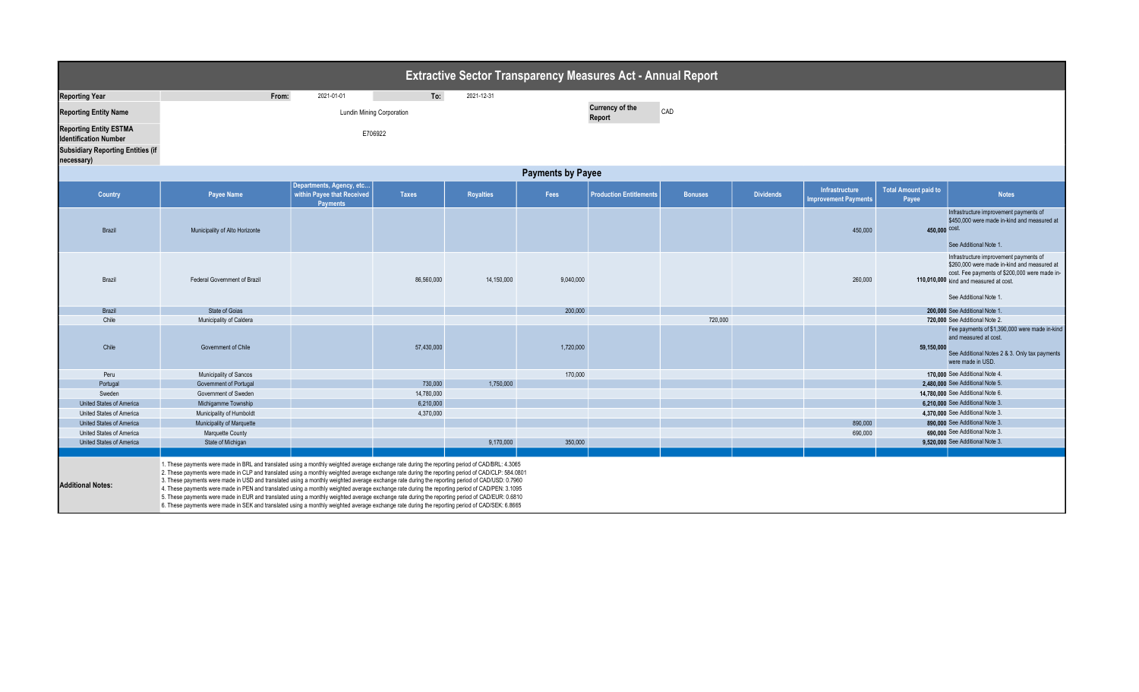| <b>Extractive Sector Transparency Measures Act - Annual Report</b>                                                      |                                                                                                                                                                                                                                                                                                                                                                                                                                                                                                                                                                                                                                                                                                                                                                                                                                                                                  |                                                                    |              |                  |           |                                         |                |                  |                                               |                                      |                                                                                                                                                                                                            |  |
|-------------------------------------------------------------------------------------------------------------------------|----------------------------------------------------------------------------------------------------------------------------------------------------------------------------------------------------------------------------------------------------------------------------------------------------------------------------------------------------------------------------------------------------------------------------------------------------------------------------------------------------------------------------------------------------------------------------------------------------------------------------------------------------------------------------------------------------------------------------------------------------------------------------------------------------------------------------------------------------------------------------------|--------------------------------------------------------------------|--------------|------------------|-----------|-----------------------------------------|----------------|------------------|-----------------------------------------------|--------------------------------------|------------------------------------------------------------------------------------------------------------------------------------------------------------------------------------------------------------|--|
| <b>Reporting Year</b>                                                                                                   | From:                                                                                                                                                                                                                                                                                                                                                                                                                                                                                                                                                                                                                                                                                                                                                                                                                                                                            | 2021-01-01                                                         | To:          | 2021-12-31       |           |                                         |                |                  |                                               |                                      |                                                                                                                                                                                                            |  |
| <b>Reporting Entity Name</b>                                                                                            | <b>Lundin Mining Corporation</b>                                                                                                                                                                                                                                                                                                                                                                                                                                                                                                                                                                                                                                                                                                                                                                                                                                                 |                                                                    |              |                  |           | <b>Currency of the</b><br>CAD<br>Report |                |                  |                                               |                                      |                                                                                                                                                                                                            |  |
| <b>Reporting Entity ESTMA</b><br><b>Identification Number</b><br><b>Subsidiary Reporting Entities (if</b><br>necessary) | E706922                                                                                                                                                                                                                                                                                                                                                                                                                                                                                                                                                                                                                                                                                                                                                                                                                                                                          |                                                                    |              |                  |           |                                         |                |                  |                                               |                                      |                                                                                                                                                                                                            |  |
| <b>Payments by Payee</b>                                                                                                |                                                                                                                                                                                                                                                                                                                                                                                                                                                                                                                                                                                                                                                                                                                                                                                                                                                                                  |                                                                    |              |                  |           |                                         |                |                  |                                               |                                      |                                                                                                                                                                                                            |  |
| Country                                                                                                                 | Payee Name                                                                                                                                                                                                                                                                                                                                                                                                                                                                                                                                                                                                                                                                                                                                                                                                                                                                       | Departments, Agency, etc<br>within Payee that Received<br>Payments | <b>Taxes</b> | <b>Royalties</b> | Fees      | <b>Production Entitlements</b>          | <b>Bonuses</b> | <b>Dividends</b> | Infrastructure<br><b>Improvement Payments</b> | <b>Total Amount paid to</b><br>Payee | <b>Notes</b>                                                                                                                                                                                               |  |
| Brazil                                                                                                                  | Municipality of Alto Horizonte                                                                                                                                                                                                                                                                                                                                                                                                                                                                                                                                                                                                                                                                                                                                                                                                                                                   |                                                                    |              |                  |           |                                         |                |                  | 450,000                                       | 450,000 cost.                        | Infrastructure improvement payments of<br>\$450,000 were made in-kind and measured at<br>See Additional Note 1.                                                                                            |  |
| Brazil                                                                                                                  | Federal Government of Brazil                                                                                                                                                                                                                                                                                                                                                                                                                                                                                                                                                                                                                                                                                                                                                                                                                                                     |                                                                    | 86,560,000   | 14,150,000       | 9,040,000 |                                         |                |                  | 260,000                                       |                                      | Infrastructure improvement payments of<br>\$260,000 were made in-kind and measured at<br>cost. Fee payments of \$200,000 were made in-<br>110,010,000 kind and measured at cost.<br>See Additional Note 1. |  |
|                                                                                                                         |                                                                                                                                                                                                                                                                                                                                                                                                                                                                                                                                                                                                                                                                                                                                                                                                                                                                                  |                                                                    |              |                  |           |                                         |                |                  |                                               |                                      |                                                                                                                                                                                                            |  |
| Brazil<br>Chile                                                                                                         | State of Goias<br>Municipality of Caldera                                                                                                                                                                                                                                                                                                                                                                                                                                                                                                                                                                                                                                                                                                                                                                                                                                        |                                                                    |              |                  | 200,000   |                                         | 720,000        |                  |                                               |                                      | 200,000 See Additional Note 1<br>720.000 See Additional Note 2.                                                                                                                                            |  |
| Chile                                                                                                                   | Government of Chile                                                                                                                                                                                                                                                                                                                                                                                                                                                                                                                                                                                                                                                                                                                                                                                                                                                              |                                                                    | 57,430,000   |                  | 1,720,000 |                                         |                |                  |                                               | 59,150,000                           | Fee payments of \$1,390,000 were made in-kind<br>and measured at cost.<br>See Additional Notes 2 & 3. Only tax payments<br>were made in USD.                                                               |  |
| Peru                                                                                                                    | Municipality of Sancos                                                                                                                                                                                                                                                                                                                                                                                                                                                                                                                                                                                                                                                                                                                                                                                                                                                           |                                                                    |              |                  | 170,000   |                                         |                |                  |                                               |                                      | 170.000 See Additional Note 4.                                                                                                                                                                             |  |
| Portugal                                                                                                                | Government of Portugal                                                                                                                                                                                                                                                                                                                                                                                                                                                                                                                                                                                                                                                                                                                                                                                                                                                           |                                                                    | 730,000      | 1,750,000        |           |                                         |                |                  |                                               |                                      | 2.480.000 See Additional Note 5.                                                                                                                                                                           |  |
| Sweden                                                                                                                  | Government of Sweden                                                                                                                                                                                                                                                                                                                                                                                                                                                                                                                                                                                                                                                                                                                                                                                                                                                             |                                                                    | 14,780,000   |                  |           |                                         |                |                  |                                               |                                      | 14.780.000 See Additional Note 6.                                                                                                                                                                          |  |
| United States of America                                                                                                | Michigamme Township                                                                                                                                                                                                                                                                                                                                                                                                                                                                                                                                                                                                                                                                                                                                                                                                                                                              |                                                                    | 6,210,000    |                  |           |                                         |                |                  |                                               |                                      | 6,210,000 See Additional Note 3.                                                                                                                                                                           |  |
| United States of America                                                                                                | Municipality of Humboldt                                                                                                                                                                                                                                                                                                                                                                                                                                                                                                                                                                                                                                                                                                                                                                                                                                                         |                                                                    | 4,370,000    |                  |           |                                         |                |                  |                                               |                                      | 4.370.000 See Additional Note 3.                                                                                                                                                                           |  |
| United States of America                                                                                                | Municipality of Marquette                                                                                                                                                                                                                                                                                                                                                                                                                                                                                                                                                                                                                                                                                                                                                                                                                                                        |                                                                    |              |                  |           |                                         |                |                  | 890,000                                       |                                      | 890.000 See Additional Note 3.                                                                                                                                                                             |  |
| United States of America                                                                                                | Marquette County                                                                                                                                                                                                                                                                                                                                                                                                                                                                                                                                                                                                                                                                                                                                                                                                                                                                 |                                                                    |              |                  |           |                                         |                |                  | 690,000                                       |                                      | 690.000 See Additional Note 3.                                                                                                                                                                             |  |
| United States of America                                                                                                | State of Michigan                                                                                                                                                                                                                                                                                                                                                                                                                                                                                                                                                                                                                                                                                                                                                                                                                                                                |                                                                    |              | 9,170,000        | 350,000   |                                         |                |                  |                                               |                                      | 9.520.000 See Additional Note 3.                                                                                                                                                                           |  |
| <b>Additional Notes:</b>                                                                                                | 1. These payments were made in BRL and translated using a monthly weighted average exchange rate during the reporting period of CAD/BRL: 4.3065<br>2. These payments were made in CLP and translated using a monthly weighted average exchange rate during the reporting period of CAD/CLP: 584.0801<br>3. These payments were made in USD and translated using a monthly weighted average exchange rate during the reporting period of CAD/USD: 0.7960<br>4. These payments were made in PEN and translated using a monthly weighted average exchange rate during the reporting period of CAD/PEN: 3.1095<br>5. These payments were made in EUR and translated using a monthly weighted average exchange rate during the reporting period of CAD/EUR: 0.6810<br>6.8665 6.8665 6.8665 6.8665 6.8665 6.8665 6.8665 6.8665 6.8665 6.8665 6.8665 6.8665 6.8665 6.8665 6.8665 6.8665 |                                                                    |              |                  |           |                                         |                |                  |                                               |                                      |                                                                                                                                                                                                            |  |